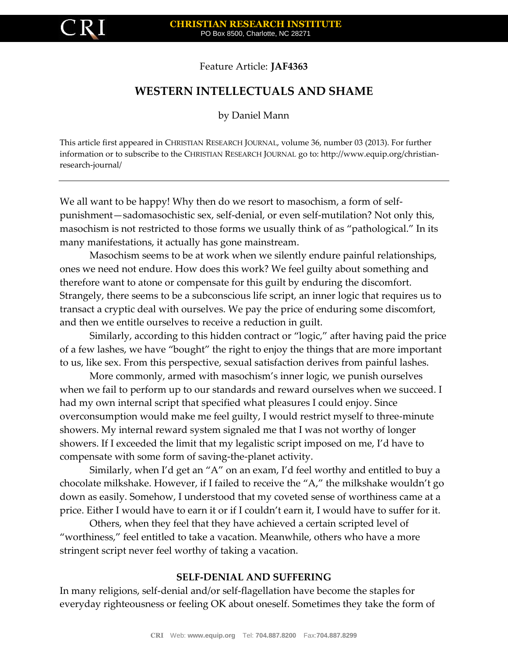

Feature Article: **JAF4363**

## **WESTERN INTELLECTUALS AND SHAME**

by Daniel Mann

This article first appeared in CHRISTIAN RESEARCH JOURNAL, volume 36, number 03 (2013). For further information or to subscribe to the CHRISTIAN RESEARCH JOURNAL go to: http://www.equip.org/christianresearch-journal/

We all want to be happy! Why then do we resort to masochism, a form of selfpunishment—sadomasochistic sex, self-denial, or even self-mutilation? Not only this, masochism is not restricted to those forms we usually think of as "pathological." In its many manifestations, it actually has gone mainstream.

Masochism seems to be at work when we silently endure painful relationships, ones we need not endure. How does this work? We feel guilty about something and therefore want to atone or compensate for this guilt by enduring the discomfort. Strangely, there seems to be a subconscious life script, an inner logic that requires us to transact a cryptic deal with ourselves. We pay the price of enduring some discomfort, and then we entitle ourselves to receive a reduction in guilt.

Similarly, according to this hidden contract or "logic," after having paid the price of a few lashes, we have "bought" the right to enjoy the things that are more important to us, like sex. From this perspective, sexual satisfaction derives from painful lashes.

More commonly, armed with masochism's inner logic, we punish ourselves when we fail to perform up to our standards and reward ourselves when we succeed. I had my own internal script that specified what pleasures I could enjoy. Since overconsumption would make me feel guilty, I would restrict myself to three-minute showers. My internal reward system signaled me that I was not worthy of longer showers. If I exceeded the limit that my legalistic script imposed on me, I'd have to compensate with some form of saving-the-planet activity.

Similarly, when I'd get an "A" on an exam, I'd feel worthy and entitled to buy a chocolate milkshake. However, if I failed to receive the "A," the milkshake wouldn't go down as easily. Somehow, I understood that my coveted sense of worthiness came at a price. Either I would have to earn it or if I couldn't earn it, I would have to suffer for it.

Others, when they feel that they have achieved a certain scripted level of "worthiness," feel entitled to take a vacation. Meanwhile, others who have a more stringent script never feel worthy of taking a vacation.

## **SELF-DENIAL AND SUFFERING**

In many religions, self-denial and/or self-flagellation have become the staples for everyday righteousness or feeling OK about oneself. Sometimes they take the form of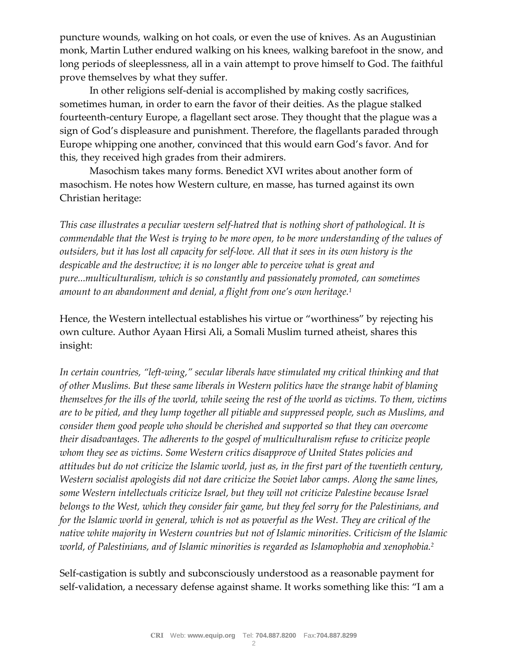puncture wounds, walking on hot coals, or even the use of knives. As an Augustinian monk, Martin Luther endured walking on his knees, walking barefoot in the snow, and long periods of sleeplessness, all in a vain attempt to prove himself to God. The faithful prove themselves by what they suffer.

In other religions self-denial is accomplished by making costly sacrifices, sometimes human, in order to earn the favor of their deities. As the plague stalked fourteenth-century Europe, a flagellant sect arose. They thought that the plague was a sign of God's displeasure and punishment. Therefore, the flagellants paraded through Europe whipping one another, convinced that this would earn God's favor. And for this, they received high grades from their admirers.

Masochism takes many forms. Benedict XVI writes about another form of masochism. He notes how Western culture, en masse, has turned against its own Christian heritage:

*This case illustrates a peculiar western self-hatred that is nothing short of pathological. It is commendable that the West is trying to be more open, to be more understanding of the values of outsiders, but it has lost all capacity for self-love. All that it sees in its own history is the despicable and the destructive; it is no longer able to perceive what is great and pure...multiculturalism, which is so constantly and passionately promoted, can sometimes amount to an abandonment and denial, a flight from one's own heritage.<sup>1</sup>*

Hence, the Western intellectual establishes his virtue or "worthiness" by rejecting his own culture. Author Ayaan Hirsi Ali, a Somali Muslim turned atheist, shares this insight:

*In certain countries, "left-wing," secular liberals have stimulated my critical thinking and that of other Muslims. But these same liberals in Western politics have the strange habit of blaming themselves for the ills of the world, while seeing the rest of the world as victims. To them, victims are to be pitied, and they lump together all pitiable and suppressed people, such as Muslims, and consider them good people who should be cherished and supported so that they can overcome their disadvantages. The adherents to the gospel of multiculturalism refuse to criticize people whom they see as victims. Some Western critics disapprove of United States policies and attitudes but do not criticize the Islamic world, just as, in the first part of the twentieth century, Western socialist apologists did not dare criticize the Soviet labor camps. Along the same lines, some Western intellectuals criticize Israel, but they will not criticize Palestine because Israel belongs to the West, which they consider fair game, but they feel sorry for the Palestinians, and for the Islamic world in general, which is not as powerful as the West. They are critical of the native white majority in Western countries but not of Islamic minorities. Criticism of the Islamic world, of Palestinians, and of Islamic minorities is regarded as Islamophobia and xenophobia.<sup>2</sup>*

Self-castigation is subtly and subconsciously understood as a reasonable payment for self-validation, a necessary defense against shame. It works something like this: "I am a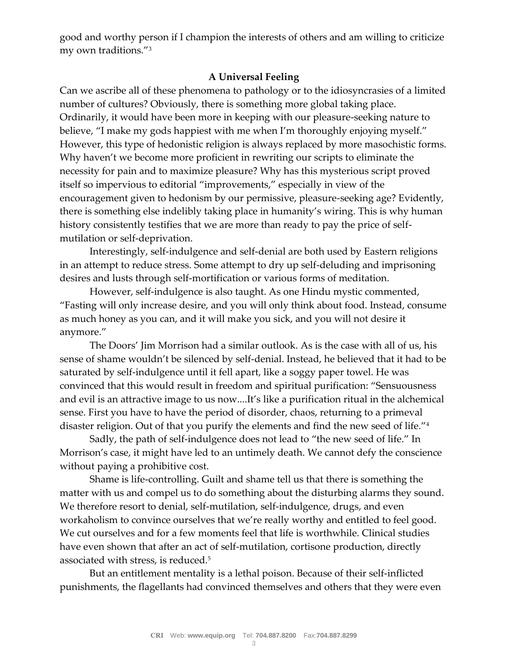good and worthy person if I champion the interests of others and am willing to criticize my own traditions."<sup>3</sup>

## **A Universal Feeling**

Can we ascribe all of these phenomena to pathology or to the idiosyncrasies of a limited number of cultures? Obviously, there is something more global taking place. Ordinarily, it would have been more in keeping with our pleasure-seeking nature to believe, "I make my gods happiest with me when I'm thoroughly enjoying myself." However, this type of hedonistic religion is always replaced by more masochistic forms. Why haven't we become more proficient in rewriting our scripts to eliminate the necessity for pain and to maximize pleasure? Why has this mysterious script proved itself so impervious to editorial "improvements," especially in view of the encouragement given to hedonism by our permissive, pleasure-seeking age? Evidently, there is something else indelibly taking place in humanity's wiring. This is why human history consistently testifies that we are more than ready to pay the price of selfmutilation or self-deprivation.

Interestingly, self-indulgence and self-denial are both used by Eastern religions in an attempt to reduce stress. Some attempt to dry up self-deluding and imprisoning desires and lusts through self-mortification or various forms of meditation.

However, self-indulgence is also taught. As one Hindu mystic commented, "Fasting will only increase desire, and you will only think about food. Instead, consume as much honey as you can, and it will make you sick, and you will not desire it anymore."

The Doors' Jim Morrison had a similar outlook. As is the case with all of us, his sense of shame wouldn't be silenced by self-denial. Instead, he believed that it had to be saturated by self-indulgence until it fell apart, like a soggy paper towel. He was convinced that this would result in freedom and spiritual purification: "Sensuousness and evil is an attractive image to us now....It's like a purification ritual in the alchemical sense. First you have to have the period of disorder, chaos, returning to a primeval disaster religion. Out of that you purify the elements and find the new seed of life."<sup>4</sup>

Sadly, the path of self-indulgence does not lead to "the new seed of life." In Morrison's case, it might have led to an untimely death. We cannot defy the conscience without paying a prohibitive cost.

Shame is life-controlling. Guilt and shame tell us that there is something the matter with us and compel us to do something about the disturbing alarms they sound. We therefore resort to denial, self-mutilation, self-indulgence, drugs, and even workaholism to convince ourselves that we're really worthy and entitled to feel good. We cut ourselves and for a few moments feel that life is worthwhile. Clinical studies have even shown that after an act of self-mutilation, cortisone production, directly associated with stress, is reduced.<sup>5</sup>

But an entitlement mentality is a lethal poison. Because of their self-inflicted punishments, the flagellants had convinced themselves and others that they were even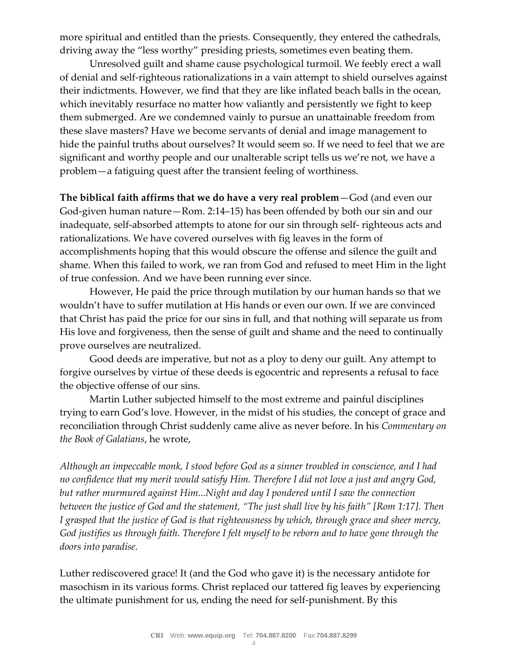more spiritual and entitled than the priests. Consequently, they entered the cathedrals, driving away the "less worthy" presiding priests, sometimes even beating them.

Unresolved guilt and shame cause psychological turmoil. We feebly erect a wall of denial and self-righteous rationalizations in a vain attempt to shield ourselves against their indictments. However, we find that they are like inflated beach balls in the ocean, which inevitably resurface no matter how valiantly and persistently we fight to keep them submerged. Are we condemned vainly to pursue an unattainable freedom from these slave masters? Have we become servants of denial and image management to hide the painful truths about ourselves? It would seem so. If we need to feel that we are significant and worthy people and our unalterable script tells us we're not, we have a problem—a fatiguing quest after the transient feeling of worthiness.

**The biblical faith affirms that we do have a very real problem**—God (and even our God-given human nature—Rom. 2:14–15) has been offended by both our sin and our inadequate, self-absorbed attempts to atone for our sin through self- righteous acts and rationalizations. We have covered ourselves with fig leaves in the form of accomplishments hoping that this would obscure the offense and silence the guilt and shame. When this failed to work, we ran from God and refused to meet Him in the light of true confession. And we have been running ever since.

However, He paid the price through mutilation by our human hands so that we wouldn't have to suffer mutilation at His hands or even our own. If we are convinced that Christ has paid the price for our sins in full, and that nothing will separate us from His love and forgiveness, then the sense of guilt and shame and the need to continually prove ourselves are neutralized.

Good deeds are imperative, but not as a ploy to deny our guilt. Any attempt to forgive ourselves by virtue of these deeds is egocentric and represents a refusal to face the objective offense of our sins.

Martin Luther subjected himself to the most extreme and painful disciplines trying to earn God's love. However, in the midst of his studies, the concept of grace and reconciliation through Christ suddenly came alive as never before. In his *Commentary on the Book of Galatians*, he wrote,

*Although an impeccable monk, I stood before God as a sinner troubled in conscience, and I had no confidence that my merit would satisfy Him. Therefore I did not love a just and angry God, but rather murmured against Him...Night and day I pondered until I saw the connection between the justice of God and the statement, "The just shall live by his faith" [Rom 1:17]. Then I grasped that the justice of God is that righteousness by which, through grace and sheer mercy, God justifies us through faith. Therefore I felt myself to be reborn and to have gone through the doors into paradise.*

Luther rediscovered grace! It (and the God who gave it) is the necessary antidote for masochism in its various forms. Christ replaced our tattered fig leaves by experiencing the ultimate punishment for us, ending the need for self-punishment. By this